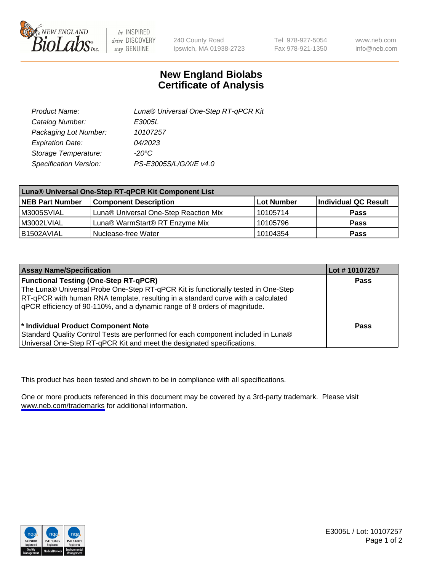

be INSPIRED drive DISCOVERY stay GENUINE

240 County Road Ipswich, MA 01938-2723 Tel 978-927-5054 Fax 978-921-1350

www.neb.com info@neb.com

## **New England Biolabs Certificate of Analysis**

| Product Name:           | Luna® Universal One-Step RT-qPCR Kit |
|-------------------------|--------------------------------------|
| Catalog Number:         | E3005L                               |
| Packaging Lot Number:   | 10107257                             |
| <b>Expiration Date:</b> | 04/2023                              |
| Storage Temperature:    | $-20^{\circ}$ C                      |
| Specification Version:  | PS-E3005S/L/G/X/E v4.0               |

| Luna® Universal One-Step RT-qPCR Kit Component List |                                       |            |                      |  |
|-----------------------------------------------------|---------------------------------------|------------|----------------------|--|
| <b>NEB Part Number</b>                              | <b>Component Description</b>          | Lot Number | Individual QC Result |  |
| M3005SVIAL                                          | Luna® Universal One-Step Reaction Mix | 10105714   | Pass                 |  |
| M3002LVIAL                                          | Luna® WarmStart® RT Enzyme Mix        | 10105796   | <b>Pass</b>          |  |
| B1502AVIAL                                          | Nuclease-free Water                   | 10104354   | <b>Pass</b>          |  |

| <b>Assay Name/Specification</b>                                                   | Lot # 10107257 |
|-----------------------------------------------------------------------------------|----------------|
| <b>Functional Testing (One-Step RT-qPCR)</b>                                      | <b>Pass</b>    |
| The Luna® Universal Probe One-Step RT-qPCR Kit is functionally tested in One-Step |                |
| RT-qPCR with human RNA template, resulting in a standard curve with a calculated  |                |
| gPCR efficiency of 90-110%, and a dynamic range of 8 orders of magnitude.         |                |
| <sup>*</sup> Individual Product Component Note                                    | Pass           |
| Standard Quality Control Tests are performed for each component included in Luna® |                |
| Universal One-Step RT-qPCR Kit and meet the designated specifications.            |                |

This product has been tested and shown to be in compliance with all specifications.

One or more products referenced in this document may be covered by a 3rd-party trademark. Please visit <www.neb.com/trademarks>for additional information.